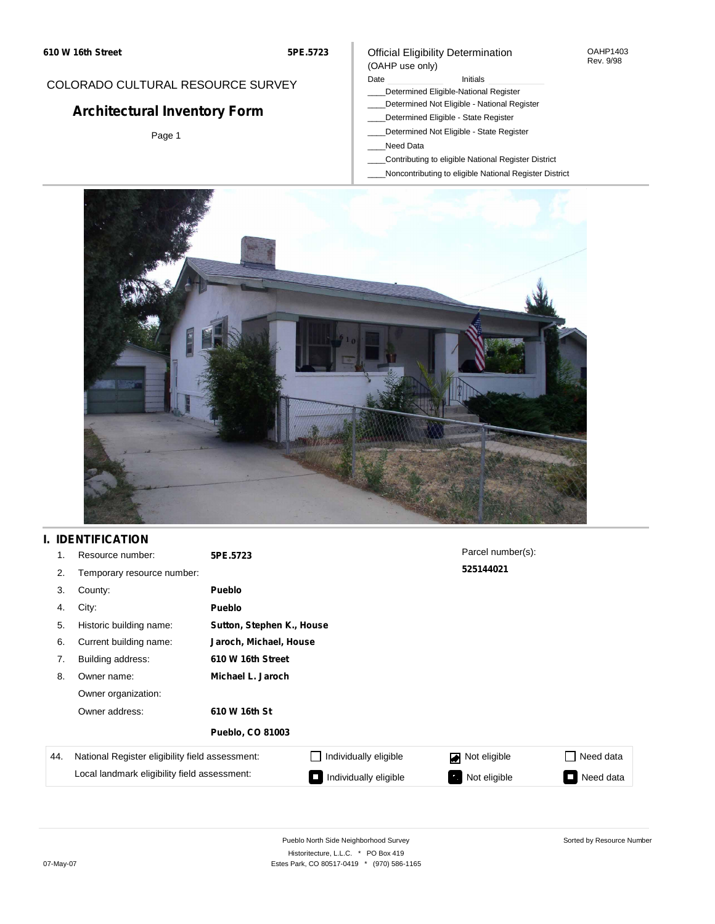### COLORADO CULTURAL RESOURCE SURVEY

# **Architectural Inventory Form**

Page 1

### Official Eligibility Determination (OAHP use only)

### Date **Initials** Initials

- \_\_\_\_Determined Eligible-National Register
- \_\_\_\_Determined Not Eligible National Register
- \_\_\_\_Determined Eligible State Register
- \_\_\_\_Determined Not Eligible State Register
- \_\_\_\_Need Data
- \_\_\_\_Contributing to eligible National Register District
- \_\_\_\_Noncontributing to eligible National Register District



## **I. IDENTIFICATION**

| 1.  | Resource number:                                | 5PE.5723                  |                        | Parcel number(s): |                     |  |  |
|-----|-------------------------------------------------|---------------------------|------------------------|-------------------|---------------------|--|--|
| 2.  | Temporary resource number:                      |                           |                        | 525144021         |                     |  |  |
| 3.  | County:                                         | Pueblo                    |                        |                   |                     |  |  |
| 4.  | City:                                           | Pueblo                    |                        |                   |                     |  |  |
| 5.  | Historic building name:                         | Sutton, Stephen K., House |                        |                   |                     |  |  |
| 6.  | Current building name:                          |                           | Jaroch, Michael, House |                   |                     |  |  |
| 7.  | Building address:                               | 610 W 16th Street         |                        |                   |                     |  |  |
| 8.  | Owner name:                                     | Michael L. Jaroch         |                        |                   |                     |  |  |
|     | Owner organization:                             |                           |                        |                   |                     |  |  |
|     | Owner address:                                  | 610 W 16th St             |                        |                   |                     |  |  |
|     |                                                 | <b>Pueblo, CO 81003</b>   |                        |                   |                     |  |  |
| 44. | National Register eligibility field assessment: |                           | Individually eligible  | Not eligible      | Need data           |  |  |
|     | Local landmark eligibility field assessment:    |                           | Individually eligible  | Not eligible      | Need data<br>$\Box$ |  |  |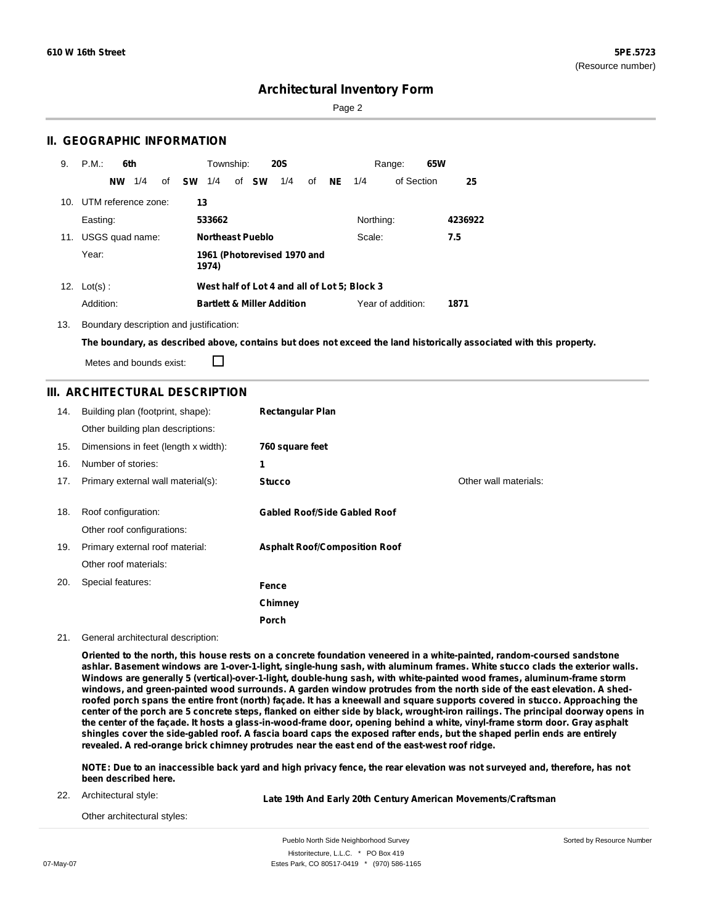Page 2

### **II. GEOGRAPHIC INFORMATION**

| 9.  | P.M.                | 6th       |     |    |           | Township:               |              | <b>20S</b>                            |    |     |                                              | Range:            | 65W |         |
|-----|---------------------|-----------|-----|----|-----------|-------------------------|--------------|---------------------------------------|----|-----|----------------------------------------------|-------------------|-----|---------|
|     |                     | <b>NW</b> | 1/4 | of | <b>SW</b> | 1/4                     | of <b>SW</b> | 1/4                                   | οf | NE. | 1/4                                          | of Section        |     | 25      |
| 10. | UTM reference zone: |           |     |    | 13        |                         |              |                                       |    |     |                                              |                   |     |         |
|     | Easting:            |           |     |    |           | 533662                  |              |                                       |    |     | Northing:                                    |                   |     | 4236922 |
| 11. | USGS quad name:     |           |     |    |           | <b>Northeast Pueblo</b> |              |                                       |    |     | Scale:                                       |                   | 7.5 |         |
|     | Year:               |           |     |    |           | 1974)                   |              | 1961 (Photorevised 1970 and           |    |     |                                              |                   |     |         |
| 12. | $Lot(s)$ :          |           |     |    |           |                         |              |                                       |    |     | West half of Lot 4 and all of Lot 5; Block 3 |                   |     |         |
|     | Addition:           |           |     |    |           |                         |              | <b>Bartlett &amp; Miller Addition</b> |    |     |                                              | Year of addition: |     | 1871    |

13. Boundary description and justification:

The boundary, as described above, contains but does not exceed the land historically associated with this property.

Metes and bounds exist:

П

### **III. ARCHITECTURAL DESCRIPTION**

| 14. | Building plan (footprint, shape):<br>Other building plan descriptions: | <b>Rectangular Plan</b>              |                       |
|-----|------------------------------------------------------------------------|--------------------------------------|-----------------------|
| 15. | Dimensions in feet (length x width):                                   | 760 square feet                      |                       |
| 16. | Number of stories:                                                     | 1                                    |                       |
| 17. | Primary external wall material(s):                                     | <b>Stucco</b>                        | Other wall materials: |
| 18. | Roof configuration:<br>Other roof configurations:                      | <b>Gabled Roof/Side Gabled Roof</b>  |                       |
| 19. | Primary external roof material:                                        | <b>Asphalt Roof/Composition Roof</b> |                       |
|     | Other roof materials:                                                  |                                      |                       |
| 20. | Special features:                                                      | Fence                                |                       |
|     |                                                                        | Chimney                              |                       |
|     |                                                                        | <b>Porch</b>                         |                       |

#### 21. General architectural description:

Oriented to the north, this house rests on a concrete foundation veneered in a white-painted, random-coursed sandstone ashlar. Basement windows are 1-over-1-light, single-hung sash, with aluminum frames. White stucco clads the exterior walls. **Windows are generally 5 (vertical)-over-1-light, double-hung sash, with white-painted wood frames, aluminum-frame storm** windows, and green-painted wood surrounds. A garden window protrudes from the north side of the east elevation. A shedroofed porch spans the entire front (north) façade. It has a kneewall and square supports covered in stucco. Approaching the center of the porch are 5 concrete steps, flanked on either side by black, wrought-iron railings. The principal doorway opens in the center of the façade. It hosts a glass-in-wood-frame door, opening behind a white, vinyl-frame storm door. Gray asphalt shingles cover the side-gabled roof. A fascia board caps the exposed rafter ends, but the shaped perlin ends are entirely **revealed. A red-orange brick chimney protrudes near the east end of the east-west roof ridge.**

NOTE: Due to an inaccessible back yard and high privacy fence, the rear elevation was not surveyed and, therefore, has not **been described here.**

22. Architectural style:

**Late 19th And Early 20th Century American Movements/Craftsman**

Other architectural styles: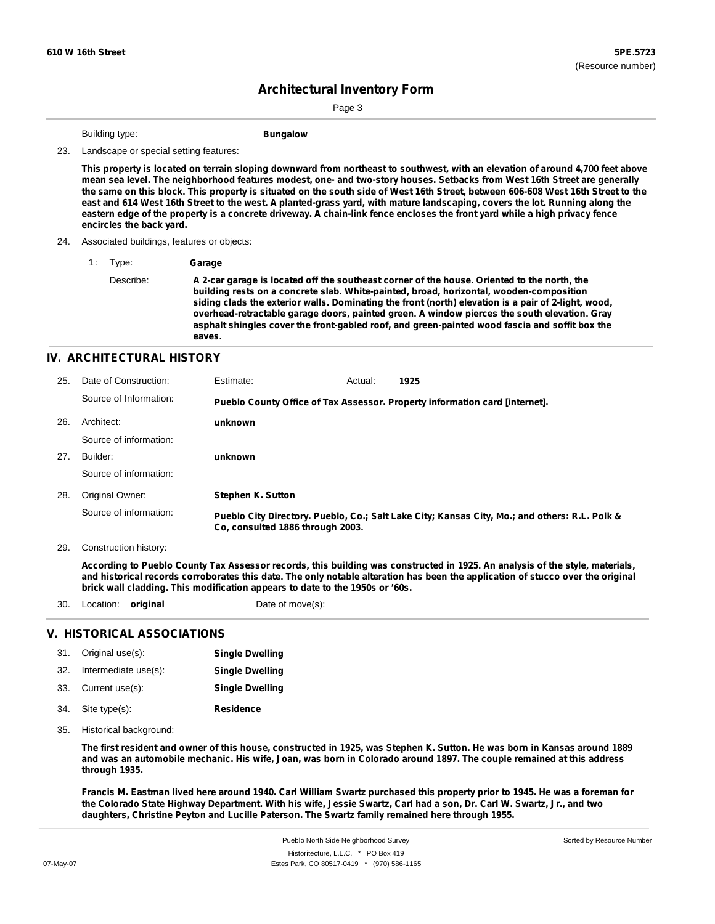Page 3

Building type: **Bungalow** 

23. Landscape or special setting features:

This property is located on terrain sloping downward from northeast to southwest, with an elevation of around 4,700 feet above mean sea level. The neighborhood features modest, one- and two-story houses. Setbacks from West 16th Street are generally the same on this block. This property is situated on the south side of West 16th Street, between 606-608 West 16th Street to the east and 614 West 16th Street to the west. A planted-grass yard, with mature landscaping, covers the lot. Running along the eastern edge of the property is a concrete driveway. A chain-link fence encloses the front yard while a high privacy fence **encircles the back yard.**

- 24. Associated buildings, features or objects:
	- 1 : Type: **Garage**

Describe: **A 2-car garage is located off the southeast corner of the house. Oriented to the north, the building rests on a concrete slab. White-painted, broad, horizontal, wooden-composition siding clads the exterior walls. Dominating the front (north) elevation is a pair of 2-light, wood, overhead-retractable garage doors, painted green. A window pierces the south elevation. Gray asphalt shingles cover the front-gabled roof, and green-painted wood fascia and soffit box the eaves.**

#### **IV. ARCHITECTURAL HISTORY**

| 25. | Date of Construction:  | Estimate:                        | Actual: | 1925                                                                                          |
|-----|------------------------|----------------------------------|---------|-----------------------------------------------------------------------------------------------|
|     | Source of Information: |                                  |         | Pueblo County Office of Tax Assessor. Property information card [internet].                   |
| 26. | Architect:             | unknown                          |         |                                                                                               |
|     | Source of information: |                                  |         |                                                                                               |
| 27. | Builder:               | unknown                          |         |                                                                                               |
|     | Source of information: |                                  |         |                                                                                               |
| 28. | Original Owner:        | <b>Stephen K. Sutton</b>         |         |                                                                                               |
|     | Source of information: | Co. consulted 1886 through 2003. |         | Pueblo City Directory. Pueblo, Co.; Salt Lake City; Kansas City, Mo.; and others: R.L. Polk & |

29. Construction history:

According to Pueblo County Tax Assessor records, this building was constructed in 1925. An analysis of the style, materials, and historical records corroborates this date. The only notable alteration has been the application of stucco over the original **brick wall cladding. This modification appears to date to the 1950s or '60s.**

30. Location: **original** Date of move(s):

#### **V. HISTORICAL ASSOCIATIONS**

| 31. Original use(s):     | <b>Single Dwelling</b> |
|--------------------------|------------------------|
| 32. Intermediate use(s): | <b>Single Dwelling</b> |
| 33. Current use(s):      | <b>Single Dwelling</b> |
| 34. Site type(s):        | Residence              |

35. Historical background:

The first resident and owner of this house, constructed in 1925, was Stephen K. Sutton. He was born in Kansas around 1889 and was an automobile mechanic. His wife, Joan, was born in Colorado around 1897. The couple remained at this address **through 1935.**

Francis M. Eastman lived here around 1940. Carl William Swartz purchased this property prior to 1945. He was a foreman for the Colorado State Highway Department. With his wife, Jessie Swartz, Carl had a son, Dr. Carl W. Swartz, Jr., and two **daughters, Christine Peyton and Lucille Paterson. The Swartz family remained here through 1955.**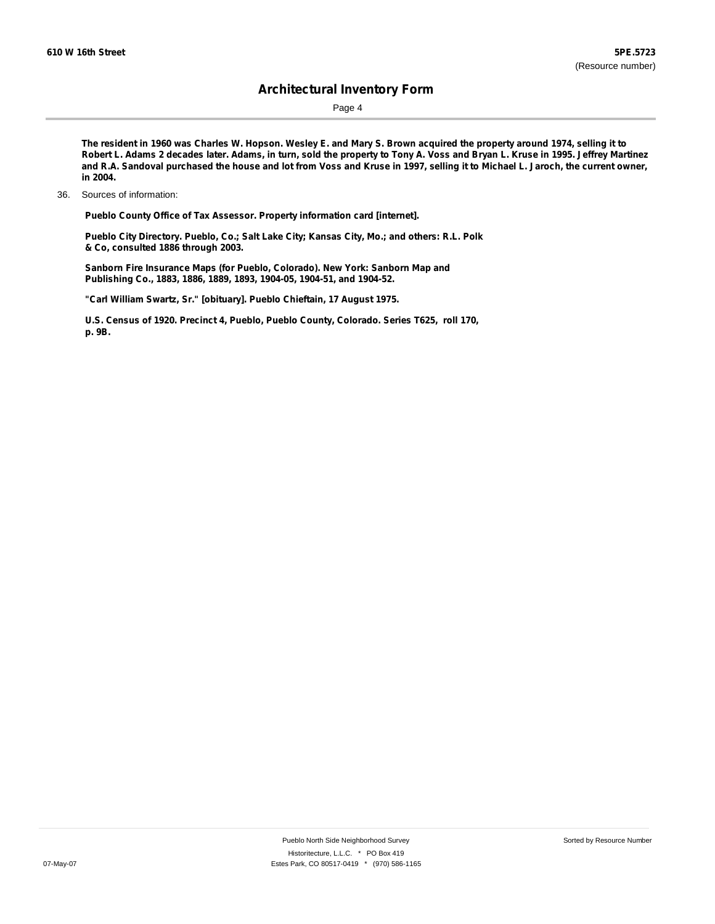Page 4

The resident in 1960 was Charles W. Hopson. Wesley E. and Mary S. Brown acquired the property around 1974, selling it to Robert L. Adams 2 decades later. Adams, in turn, sold the property to Tony A. Voss and Bryan L. Kruse in 1995. Jeffrey Martinez and R.A. Sandoval purchased the house and lot from Voss and Kruse in 1997, selling it to Michael L. Jaroch, the current owner, **in 2004.**

**Pueblo County Office of Tax Assessor. Property information card [internet].**

**Pueblo City Directory. Pueblo, Co.; Salt Lake City; Kansas City, Mo.; and others: R.L. Polk & Co, consulted 1886 through 2003.**

**Sanborn Fire Insurance Maps (for Pueblo, Colorado). New York: Sanborn Map and Publishing Co., 1883, 1886, 1889, 1893, 1904-05, 1904-51, and 1904-52.**

**"Carl William Swartz, Sr." [obituary]. Pueblo Chieftain, 17 August 1975.**

**U.S. Census of 1920. Precinct 4, Pueblo, Pueblo County, Colorado. Series T625, roll 170, p. 9B.**

<sup>36.</sup> Sources of information: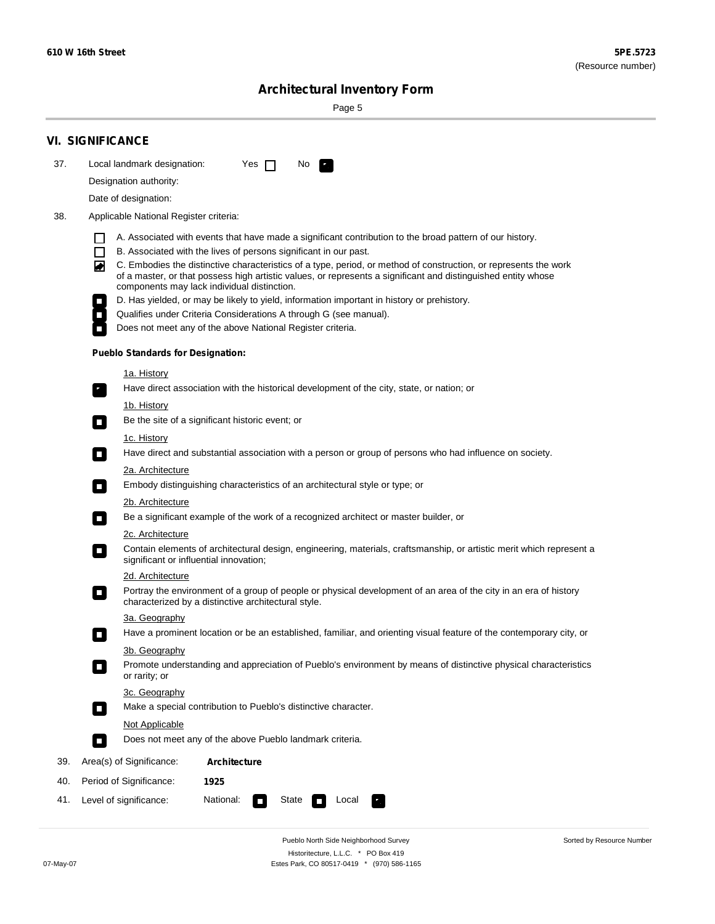۰

Sorted by Resource Number

# **Architectural Inventory Form**

Page 5

|     | <b>VI. SIGNIFICANCE</b>                                                                                                                                                                                                                                                               |  |  |  |  |  |  |
|-----|---------------------------------------------------------------------------------------------------------------------------------------------------------------------------------------------------------------------------------------------------------------------------------------|--|--|--|--|--|--|
| 37. | Local landmark designation:<br>Yes $\Box$<br>No.<br>$\mathbf{F}$                                                                                                                                                                                                                      |  |  |  |  |  |  |
|     | Designation authority:                                                                                                                                                                                                                                                                |  |  |  |  |  |  |
|     | Date of designation:                                                                                                                                                                                                                                                                  |  |  |  |  |  |  |
| 38. | Applicable National Register criteria:                                                                                                                                                                                                                                                |  |  |  |  |  |  |
|     | A. Associated with events that have made a significant contribution to the broad pattern of our history.                                                                                                                                                                              |  |  |  |  |  |  |
|     | $\Box$<br>B. Associated with the lives of persons significant in our past.                                                                                                                                                                                                            |  |  |  |  |  |  |
|     | C. Embodies the distinctive characteristics of a type, period, or method of construction, or represents the work<br>◙<br>of a master, or that possess high artistic values, or represents a significant and distinguished entity whose<br>components may lack individual distinction. |  |  |  |  |  |  |
|     | D. Has yielded, or may be likely to yield, information important in history or prehistory.                                                                                                                                                                                            |  |  |  |  |  |  |
|     | Qualifies under Criteria Considerations A through G (see manual).                                                                                                                                                                                                                     |  |  |  |  |  |  |
|     | Does not meet any of the above National Register criteria.                                                                                                                                                                                                                            |  |  |  |  |  |  |
|     | <b>Pueblo Standards for Designation:</b>                                                                                                                                                                                                                                              |  |  |  |  |  |  |
|     | <u>1a. History</u>                                                                                                                                                                                                                                                                    |  |  |  |  |  |  |
|     | Have direct association with the historical development of the city, state, or nation; or<br>$\overline{\phantom{a}}$ .                                                                                                                                                               |  |  |  |  |  |  |
|     | <u>1b. History</u>                                                                                                                                                                                                                                                                    |  |  |  |  |  |  |
|     | Be the site of a significant historic event; or<br>$\Box$                                                                                                                                                                                                                             |  |  |  |  |  |  |
|     | 1c. History                                                                                                                                                                                                                                                                           |  |  |  |  |  |  |
|     | Have direct and substantial association with a person or group of persons who had influence on society.<br>$\Box$                                                                                                                                                                     |  |  |  |  |  |  |
|     | 2a. Architecture                                                                                                                                                                                                                                                                      |  |  |  |  |  |  |
|     | Embody distinguishing characteristics of an architectural style or type; or<br>$\Box$                                                                                                                                                                                                 |  |  |  |  |  |  |
|     | 2b. Architecture                                                                                                                                                                                                                                                                      |  |  |  |  |  |  |
|     | Be a significant example of the work of a recognized architect or master builder, or<br>$\mathcal{L}_{\mathcal{A}}$                                                                                                                                                                   |  |  |  |  |  |  |
|     | 2c. Architecture                                                                                                                                                                                                                                                                      |  |  |  |  |  |  |
|     | Contain elements of architectural design, engineering, materials, craftsmanship, or artistic merit which represent a<br>О<br>significant or influential innovation;                                                                                                                   |  |  |  |  |  |  |
|     | 2d. Architecture                                                                                                                                                                                                                                                                      |  |  |  |  |  |  |
|     | Portray the environment of a group of people or physical development of an area of the city in an era of history<br>О<br>characterized by a distinctive architectural style.                                                                                                          |  |  |  |  |  |  |
|     | 3a. Geography                                                                                                                                                                                                                                                                         |  |  |  |  |  |  |
|     | Have a prominent location or be an established, familiar, and orienting visual feature of the contemporary city, or                                                                                                                                                                   |  |  |  |  |  |  |
|     | 3b. Geography                                                                                                                                                                                                                                                                         |  |  |  |  |  |  |
|     | Promote understanding and appreciation of Pueblo's environment by means of distinctive physical characteristics<br>or rarity; or                                                                                                                                                      |  |  |  |  |  |  |
|     | 3c. Geography                                                                                                                                                                                                                                                                         |  |  |  |  |  |  |
|     | Make a special contribution to Pueblo's distinctive character.<br>$\Box$                                                                                                                                                                                                              |  |  |  |  |  |  |
|     | Not Applicable                                                                                                                                                                                                                                                                        |  |  |  |  |  |  |
|     | Does not meet any of the above Pueblo landmark criteria.<br>П                                                                                                                                                                                                                         |  |  |  |  |  |  |
| 39. | Area(s) of Significance:<br><b>Architecture</b>                                                                                                                                                                                                                                       |  |  |  |  |  |  |
| 40. | Period of Significance:<br>1925                                                                                                                                                                                                                                                       |  |  |  |  |  |  |
| 41. | National:<br>Local<br>Level of significance:<br>State<br>$\Box$                                                                                                                                                                                                                       |  |  |  |  |  |  |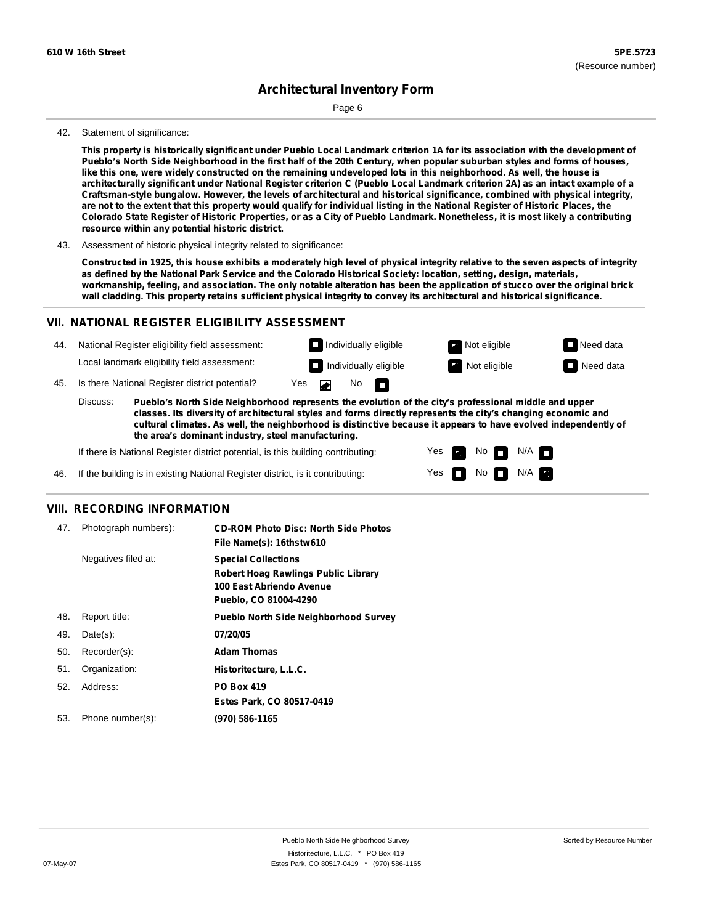Page 6

#### 42. Statement of significance:

This property is historically significant under Pueblo Local Landmark criterion 1A for its association with the development of Pueblo's North Side Neighborhood in the first half of the 20th Century, when popular suburban styles and forms of houses, like this one, were widely constructed on the remaining undeveloped lots in this neighborhood. As well, the house is architecturally significant under National Register criterion C (Pueblo Local Landmark criterion 2A) as an intact example of a **Craftsman-style bungalow. However, the levels of architectural and historical significance, combined with physical integrity,** are not to the extent that this property would qualify for individual listing in the National Register of Historic Places, the Colorado State Register of Historic Properties, or as a City of Pueblo Landmark. Nonetheless, it is most likely a contributing **resource within any potential historic district.**

43. Assessment of historic physical integrity related to significance:

Constructed in 1925, this house exhibits a moderately high level of physical integrity relative to the seven aspects of integrity as defined by the National Park Service and the Colorado Historical Society: location, setting, design, materials, workmanship, feeling, and association. The only notable alteration has been the application of stucco over the original brick wall cladding. This property retains sufficient physical integrity to convey its architectural and historical significance.

#### **VII. NATIONAL REGISTER ELIGIBILITY ASSESSMENT**

National Register eligibility field assessment: 44. Local landmark eligibility field assessment:

45. Is there National Register district potential? Yes

**Pueblo's North Side Neighborhood represents the evolution of the city's professional middle and upper classes. Its diversity of architectural styles and forms directly represents the city's changing economic and cultural climates. As well, the neighborhood is distinctive because it appears to have evolved independently of the area's dominant industry, steel manufacturing.** Discuss:

 $\blacksquare$ 

 $No$ 

Yes Yes No

**Individually eligible Not eligible** Not eligible **Need data Individually eligible Not eligible Not eligible Need data** 

 $No$  N/A

 $N/A$   $\Box$ 

If there is National Register district potential, is this building contributing:



#### **VIII. RECORDING INFORMATION**

| 47. | Photograph numbers): | <b>CD-ROM Photo Disc: North Side Photos</b><br>File Name(s): 16thstw610                                                       |
|-----|----------------------|-------------------------------------------------------------------------------------------------------------------------------|
|     | Negatives filed at:  | <b>Special Collections</b><br><b>Robert Hoag Rawlings Public Library</b><br>100 East Abriendo Avenue<br>Pueblo, CO 81004-4290 |
| 48. | Report title:        | <b>Pueblo North Side Neighborhood Survey</b>                                                                                  |
| 49. | $Date(s)$ :          | 07/20/05                                                                                                                      |
| 50. | Recorder(s):         | <b>Adam Thomas</b>                                                                                                            |
| 51. | Organization:        | Historitecture, L.L.C.                                                                                                        |
| 52. | Address:             | <b>PO Box 419</b>                                                                                                             |
|     |                      | Estes Park, CO 80517-0419                                                                                                     |
| 53. | Phone number(s):     | (970) 586-1165                                                                                                                |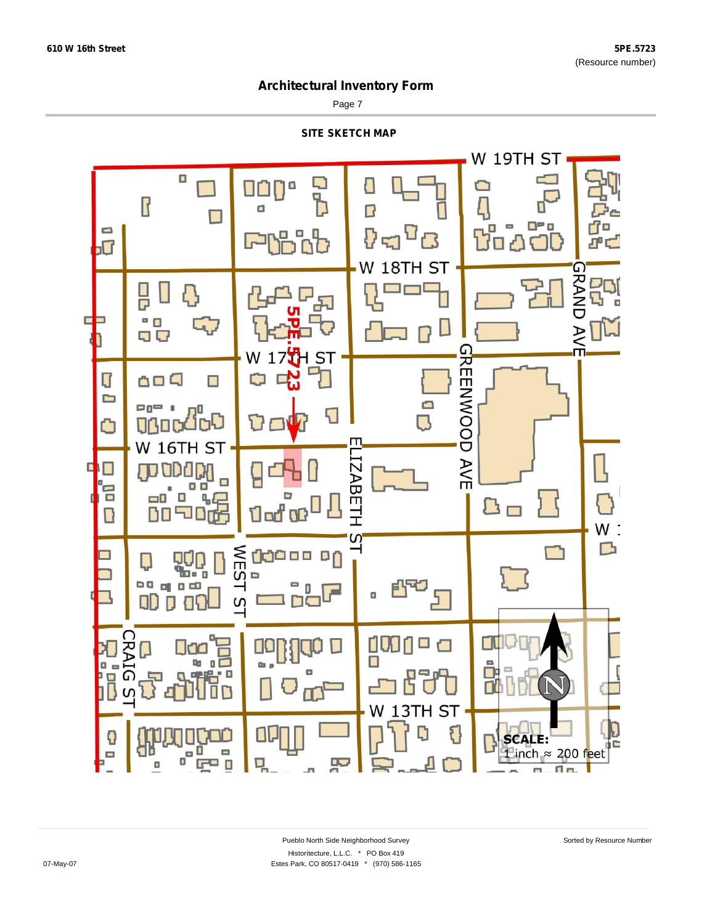$\blacksquare$ 

## **Architectural Inventory Form**

Page 7



 $\Box$ 

무

m.

W 13TH ST

E

**SCALE:** 

1 inch  $\approx$  200 feet

m.

T a.

E

Đ

 $\blacksquare$ 

C

 $\Box$ 

טטט<br>פ<sup>פ</sup>

 $\Box$ 

믹

 $F = 0$